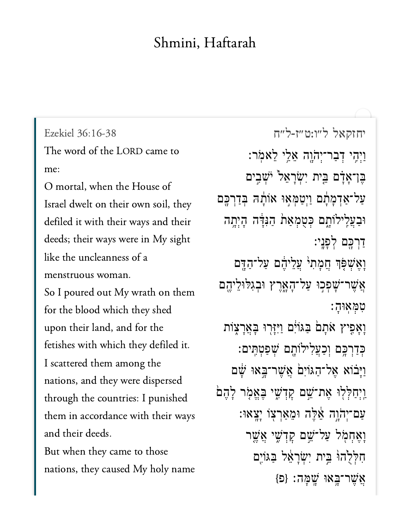## Shmini, Haftarah

Ezekiel 36:16-38 The word of the LORD came to  $\Omega$  I l l H  $\Omega$ 

Israel dwelt on their own soil, they defiled it with their ways and their  $\frac{1}{\sqrt{1-\frac{1}{\sqrt{1-\frac{1}{\sqrt{1-\frac{1}{\sqrt{1-\frac{1}{\sqrt{1-\frac{1}{\sqrt{1-\frac{1}{\sqrt{1-\frac{1}{\sqrt{1-\frac{1}{\sqrt{1-\frac{1}{\sqrt{1-\frac{1}{\sqrt{1-\frac{1}{\sqrt{1-\frac{1}{\sqrt{1-\frac{1}{\sqrt{1-\frac{1}{\sqrt{1-\frac{1}{\sqrt{1-\frac{1}{\sqrt{1-\frac{1}{\sqrt{1-\frac{1}{\sqrt{1-\frac{1}{\sqrt{1-\frac{1}{\sqrt{1-\frac{1}{\sqrt{1-\frac{1}{\sqrt{1-\frac{1}{\sqrt{1-\frac{1$ mension woman  $\frac{1}{\sqrt{2}}$ menstruous woman.

So I poured out My wrath on them for the blood which they shed upon their land, and for the fetishes with which they defiled it. I scattered them among the nations, and they were dispersed through the countries: I punished them in accordance with their ways and their deeds.

But when they came to those nations, they caused My holy name

[יחזקאל ל״ו:ט״ז-ל״ח](https://www.sefaria.org/Ezekiel%2036:16-38) ַוְיִהֶי דִּבְר־יְהֹוֶה אֱלֵי לֵאמֹר: ָּבֵן־אָדָם בֵּיִת יִשְׂרָאֵל<sup>ֶ</sup> יֹּשְֽבִים ַעֲל־אַדְמָתָם וַיְטַמְאִוּ אוֹתָה בְּדַרְכֶּם וּבַעֲלֵילוֹתָם כִּטָמְאַת הַגְּדֶּה הָיִתָה ַדְרָכֵּם לְפָנֵי: וָאֶשְׁפָּֿן חֲמָת<sup>ֶ,</sup> עֲלֵיהֶם עַל־הַדֶּם **ְאֲשֶׁר־שָׁפִכְוּ עַל־הָאֲרֵץ וּב**ְגִלּוּלֵיהֵם ִט ְּמ ֽאּוָה ׃ וַאָפִיץ אֹתָם בַּגּוֹיִם וַיִּיָּרְוּ בָּאֲרָצָוֹת ּכְדַרְכִֵּ֑ם וְּכַעֲלִילוֹתֵֽם שִׁפַּטְתֵּיִם: וַיָּבֹוא אֱל־הַגּוֹיִם אֵשֶׁר־בָּאוּ שַׁם ַוְיִחַלְּלִוּ אֶת־ֹּשֵׁם קַדְּשֵׁי בֵּאֱמָׂר לָהֶם ַעֲם־יְהֹוֵה אֵׁלֶּה וּמֵאַרְצְוֹ יַצֵאוּ: וַאֵחָמְל עַל־ֹּשֵׁם קָדְשִׁי אֲשֵר חַלְלְהוֹ בֵּית יְשְׂרָאֵל בַּגוֹיֶם  $\{D\}$  אֲשֶׁר־בַּאוּ שֲׁמָּה: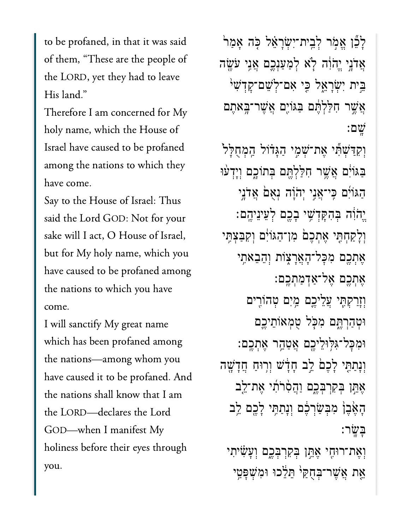to be profaned, in that it was said of them, "These are the people of the LORD, yet they had to leave His land." My

 $\overline{r}$  name, which the House of  $\overline{r}$ is<br>Italian have profaned to be profaned to be profaned to be profaned to be profaned to be profaned to be profane<br>Italian have profaned to be profaned to be profaned to be profaned to be profaned to be profaned to be profa Israel have caused to be profaned among the nations to which they have come.

Say to the House of Israel: Thus said the Lord GOD: Not for your sake will I act, O House of Israel, but for My holy name, which you have caused to be profaned among the nations to which you have I will sanctify My great name

I will sanctify My great name which has been profaned among the nations-among whom you have caused it to be profaned. And the nations shall know that I am the LORD-declares the Lord GOD-when I manifest My holiness before their eyes through you.

ַלְבֶّן אֵמְר לְבֵית־יִשְׂרָאֵל כָּה אָמַר ְאֲדֹנֵי יֵהֹוָׂה לְא לִמְעַנָכֵם אֲנֵי עֹּשֶׂה ֵּ֣בית ִיְׂשָרֵ֑אל ִּ֤כי ִאם־ְלֵׁשם־ׇקְדִׁש֙י ֲאֶׁ֣שר ִחַּלְלֶּ֔תם ַּבּגֹוִ֖ים ֲאֶׁשר־ָּ֥באֶתם ָֽׁשם׃ וְקִדַּשִׁתְּ֫י אֶת־שָׁמֶי הַגֲדֹוֹל הַמְחָלַּל ַּבְּגֹוָֹּׂם אֲשֶׁר חִלַּלְתֶּם בְּתוֹכֶם וְיָדְעוּ ַהּגֹוִ֜ים ִּֽכי־ֲאִ֣ני ְיֹהָ֗וה ְנֻא֙ם ֲאֹדָ֣ני ֱיֹהִ֔וה ְּבִהָּקְדִׁ֥שי ָבֶ֖כם ְלֵעיֵניֶֽהם׃ וְלָקַחְתִּ֖י אֶתְכֶםۢ מִן־הַגּוֹיִ֔ם וִקִּבַּצִּתֵּי ְאֶתְכֶם מְכָּל־הָאֲרָצָוֹת וְהֵבֵאתֵי ָאֶתְכֶם אֱל־אֲדָמַתְכֵם: וְזַרַקִּתִּי עֲלֵיִכֵם מֵיִם טָהוֹרִים ּוְטַהְרֶּ֑תם ִמֹּ֧כל ֻטְמאֹוֵתיֶ֛כם ּוִמׇּכל־ִּגּ֥לּוֵליֶ֖כם ֲאַטֵ֥הר ֶאְתֶֽכם׃ וְנָתַתִּי לָכֵםׂ לֵב חָדָּשׁ וִרְוּחַ חֲדָשָׁה ֶאֵּ֣תן ְּבִקְרְּבֶ֑כם ַוֲהִ֨סֹרִ֜תי ֶאת־ֵ֤לב ָהֶ֙אֶב֙ן ִמְּבַׂשְרֶ֔כם ְוָנַתִּ֥תי ָלֶ֖כם ֵ֥לב ָּבָֽׂשר׃ וְאֶת־רוּחֶי אֶתֱן בִּקְרִבְּבֶם וְעָ*ֹ*שִׂיתִי אֶת אֲשֶׁר־בְּחָקַי הֵלֵׂכוּ וּמִשְׁפַּטֵי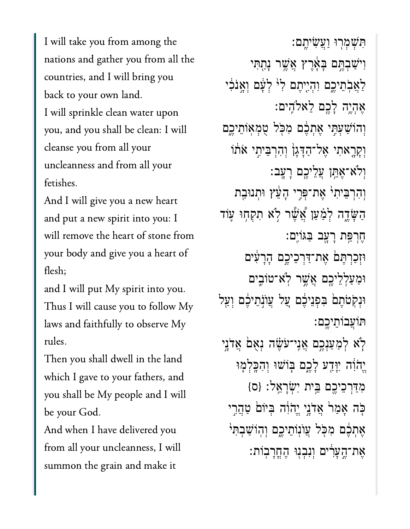I will take you from among the nations and gather you from all the countries, and I will bring you back to your own land. I will sprinkle clean water upon  $\frac{1}{1}$  from all  $\frac{1}{1}$  from all  $\frac{1}{1}$  from all  $\frac{1}{1}$  from all  $\frac{1}{1}$  from all  $\frac{1}{1}$  from all  $\frac{1}{1}$  from all  $\frac{1}{1}$  from all  $\frac{1}{1}$  from all  $\frac{1}{1}$  from all  $\frac{1}{1}$  from all  $\frac{1}{1}$  fr cleanse you from all your uncleanness and from all your  $\mathcal{C}$  is a new heart  $\mathcal{C}$ 

 $\overline{a}$  and  $\overline{b}$  into  $\overline{b}$  into  $\overline{b}$  into  $\overline{b}$  into  $\overline{b}$  into  $\overline{b}$  into  $\overline{b}$  into  $\overline{b}$  into  $\overline{b}$  into  $\overline{b}$  into  $\overline{b}$  into  $\overline{b}$  into  $\overline{b}$  into  $\overline{b}$  into  $\overline{b}$  int and put a new spirit into you: I from  $y_1$  and  $y_2$  and  $y_3$  and  $y_4$  and  $y_5$  and  $y_6$  are  $y_7$  and  $y_8$  and  $y_9$  are  $y_1$  and  $y_1$  and  $y_2$  are  $y_1$  and  $y_3$  are  $y_1$  and  $y_2$  are  $y_1$  and  $y_3$  are  $y_1$  and  $y_2$  are  $y_3$  and  $y_4$  are  $\begin{array}{ccc} \n\cdot & \cdot & \cdot & \cdot & \cdot \n\end{array}$ 

and I will put My spirit into you. Thus I will cause you to follow My laws and faithfully to observe My Then you shall dwell in the land

Then you shall dwell in the land which I gave to your fathers, and you shall be My people and I will be your God.

And when I have delivered you from all your uncleanness, I will summon the grain and make it

ִּתְׁשְמ֖רּו ַוֲעִׂשיֶֽתם׃ וִיֹּשַׁבְתֵּם בָּאֶרֵץ אֲשֶׁר נָתָתִּי ַלַאֲבְתֵיכֶם וְהָיֶיֶתֶם לִ<sup>וּ</sup> לְעָּׁם וְאֲנֹכִי ֶאְהֶ֥יה ָלֶ֖כם ֵלאֹלִֽהים׃ וְהוֹשַׁעְתֵּי אֶתְבֶׁם מִכְּל טָמְאִוֹתֵיִכֵּם וְקַרֵאתִי אֱל־הַדָּגַןְ וְהִרְבֵּיְתֵי אֹתֹוֹ ְוֹלא־ֶאֵּ֥תן ֲעֵליֶ֖כם ָרָֽעב׃ וְהִרְבֵּיִתְיֹ אֱת־פִּרֵי הַעֵּׁץ וּתְנוּבַת ַהַשֶּׂדֶה לְמַּעַן אֲשֶׁר לְא תִקְחָוּ עָוֹד ֶחְרַּ֥פת ָרָ֖עב ַּבּגֹוִֽים׃ ּוְזַכְרֶּת֙ם ֶאת־ַּדְרֵכיֶ֣כם ָהָרִ֔עים ּוַמַעְלֵליֶ֖כם ֲאֶׁ֣שר ֹֽלא־טֹוִ֑בים וּנִקְטֹתֵםׂ בִּפְנֵיכֶם עֲל עֲוֹנָתֵיכֶם וְעַ*ל* ּתֹוֲעבֹוֵתיֶֽכם׃ ֿלְא לִמַעַנְכֶם אֲנִי־עֹּשֶׂה נִאָּם אֲדֹנֵי יֵהֹוָה יִוַּדַע לָכֶם בְּוֹשׁוּ וְהִבְלְמֶוּ ִמַּדְרֵכיֶ֖כם ֵּ֥בית ִיְׂשָרֵֽאל׃ }ס{ ּכָּׂה אָמַרֹ אֲדֹנֶי יֱהֹוָׁה בְּיוֹם טַהֲרִי ְאֶתְבֶ֫ם מִכְּל עֲוֹנְוֹתֵיכֵם וְהִוֹּשֲבִתְּי ָאֶת־הֱעַרִים וְנִבְנִוּ הֶחֲרָבִוֹת: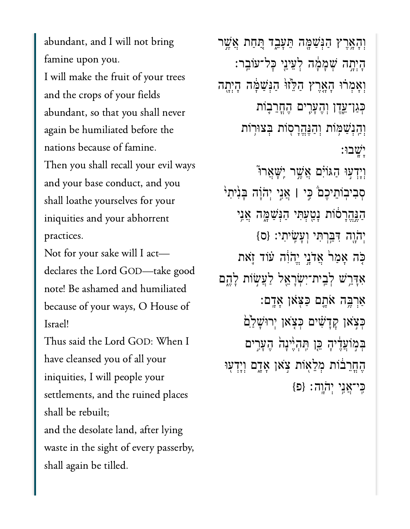abundant, and I will not bring famine upon you. I will make the fruit of your trees and the crops of your fields abundant, so that you shall never again be humiliated before the nations because of famine. o<br>nations because of famine.<br>Then you shall recall your evil ways and your base conduct, and you shall loathe yourselves for your iniquities and your abhorrent  $\frac{1}{\sqrt{2}}$ practices.<br>Not for your sake will I act—

declares the Lord GOD-take good note! Be ashamed and humiliated  $\mathbf{I}$ Thus said the Lord God. And I see the Lord God. And I see the Lord God. And I see the Lord God. And I see the <br>The Lord God. And I see the Lord God. And I see the Lord God. And I see the Lord God. And I see the Lord God.

Thus said the Lord GOD: When I have cleansed you of all your iniquities, I will people your settlements, and the ruined places shall be rebuilt; and the desolate land, after lying waste in the sight of every passerby, shall again be tilled.

ְוָהָ֥אֶרץ ַהְּנַׁשָּ֖מה ֵּתָעֵ֑בד ַּ֚תַחת ֲאֶׁ֣שר ָהְיָ֣תה ְׁשָמָ֔מה ְלֵעיֵ֖ני ׇּכל־עֹוֵֽבר׃ וְאָמְרֹוּ הָאֶרֶץ הַלֵּזוּ<sup>וֹ</sup> הַ**ּנְשַׁמֶּה הָיְתֶה** ּכְּגַן־עֱדֶן וְהֶעָּרֶים הֶחֱרֵבְוֹת וְהַנְשַׁמְּוֹת וְהַנֶּהֱרָסְוֹת בְּצוּרְוֹת ָיָֽׁשבּו׃ ֿוְיָדְעִוּ הַגּוֹיִם אֲשֶׁר יְשָׁאֲרוּ סִבִיּבְוֹתֵיכֵם *בִּי* | אֲנֵי יְהֹוָה בְּנִיתִי ַהֲנֵּהֵרְסֹוֹת נַטְעִתִּי הַגְּשָׁמֶה אֲנֵי  $\{0\}$  יִהְוֶה דְּבֵּרְתִּי וְעָשֵׂיתִי: {ס ֹּ֤כה ָאַמ֙ר ֲאֹדָ֣ני ֱיֹהִ֔וה ֗עֹוד ֹ֛זאת אִדָּרֵֽשׁ לְבֵית־יִשְׂרָאֵל לַעֲשְׂוֹת לָהֱם ַאֲרְבֵּה אֹתֶם כַּצְאוָ אָדָם: ּכְּצָׂאן קְדָשִׁים כְּצָאן יִרוּשָׁלַם בִּמְוֹעֲדִיהָ כֵּוְ תְּהָיֵיׁנָה הֶעָרִים הֶחֲרֵבֹוֹת מְלֵאָוֹת צְאֹן אָדֶם וְיָדְעִוּ ַכּי־אָני יהוה: {פ